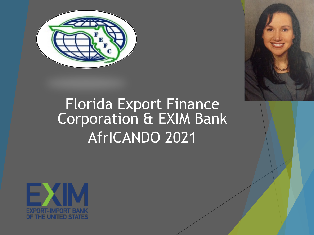



# Florida Export Finance<br>Corporation & EXIM Bank AfrICANDO 2021

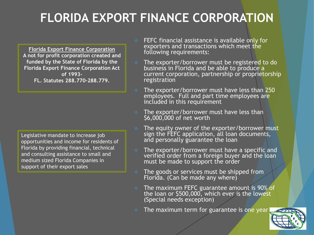#### **FLORIDA EXPORT FINANCE CORPORATION**

**Florida Export Finance Corporation A not for profit corporation created and funded by the State of Florida by the Florida Export Finance Corporation Act of 1993- FL. Statutes 288.770-288.779.**

Legislative mandate to increase job opportunities and income for residents of Florida by providing financial, technical and consulting assistance to small and medium sized Florida Companies in support of their export sales

- FEFC financial assistance is available only for exporters and transactions which meet the following requirements:
- $\div$  The exporter/borrower must be registered to do business in Florida and be able to produce a current corporation, partnership or proprietorship registration
- The exporter/borrower must have less than 250 employees. Full and part time employees are included in this requirement
- $\cdot$  The exporter/borrower must have less than \$6,000,000 of net worth
- $\cdot$  The equity owner of the exporter/borrower must sign the FEFC application, all loan documents, and personally guarantee the loan
- $\div$  The exporter/borrower must have a specific and verified order from a foreign buyer and the loan must be made to support the order
- $\div$  The goods or services must be shipped from Florida. (Can be made any where)
- The maximum FEFC guarantee amount is 90% of the loan or \$500,000, which ever is the lowest (Special needs exception)
- $\div$  The maximum term for guarantee is one year

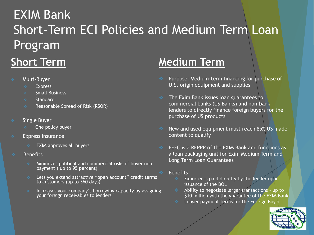### EXIM Bank Short-Term ECI Policies and Medium Term Loan Program **Short Term**

- Multi-Buyer
	- **Express**
	- $\bullet$  Small Business
	- $\leftrightarrow$  Standard
	- $\div$  Reasonable Spread of Risk (RSOR)
- $\div$  Single Buyer
	- One policy buyer
- **Express Insurance** 
	- EXIM approves all buyers
- Benefits
	- Minimizes political and commercial risks of buyer non payment ( up to 95 percent)
	- Lets you extend attractive "open account" credit terms to customers (up to 360 days)
	- Increases your company's borrowing capacity by assigning your foreign receivables to lenders

#### **Medium Term**

- ◆ Purpose: Medium-term financing for purchase of U.S. origin equipment and supplies
- **The Exim Bank issues loan guarantees to** commercial banks (US Banks) and non-bank lenders to directly finance foreign buyers for the purchase of US products
- New and used equipment must reach 85% US made content to qualify
- $\div$  FEFC is a REPPP of the EXIM Bank and functions as a loan packaging unit for Exim Medium Term and Long Term Loan Guarantees
- Benefits
	- $\triangleq$  Exporter is paid directly by the lender upon issuance of the BOL
	- $\triangleq$  Ability to negotiate larger transactions up to \$10 million with the guarantee of the EXIM Bank
	- Longer payment terms for the Foreign Buyer